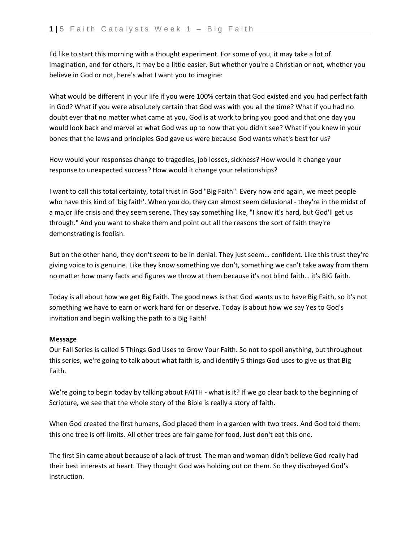I'd like to start this morning with a thought experiment. For some of you, it may take a lot of imagination, and for others, it may be a little easier. But whether you're a Christian or not, whether you believe in God or not, here's what I want you to imagine:

What would be different in your life if you were 100% certain that God existed and you had perfect faith in God? What if you were absolutely certain that God was with you all the time? What if you had no doubt ever that no matter what came at you, God is at work to bring you good and that one day you would look back and marvel at what God was up to now that you didn't see? What if you knew in your bones that the laws and principles God gave us were because God wants what's best for us?

How would your responses change to tragedies, job losses, sickness? How would it change your response to unexpected success? How would it change your relationships?

I want to call this total certainty, total trust in God "Big Faith". Every now and again, we meet people who have this kind of 'big faith'. When you do, they can almost seem delusional - they're in the midst of a major life crisis and they seem serene. They say something like, "I know it's hard, but God'll get us through." And you want to shake them and point out all the reasons the sort of faith they're demonstrating is foolish.

But on the other hand, they don't *seem* to be in denial. They just seem… confident. Like this trust they're giving voice to is genuine. Like they know something we don't, something we can't take away from them no matter how many facts and figures we throw at them because it's not blind faith… it's BIG faith.

Today is all about how we get Big Faith. The good news is that God wants us to have Big Faith, so it's not something we have to earn or work hard for or deserve. Today is about how we say Yes to God's invitation and begin walking the path to a Big Faith!

## **Message**

Our Fall Series is called 5 Things God Uses to Grow Your Faith. So not to spoil anything, but throughout this series, we're going to talk about what faith is, and identify 5 things God uses to give us that Big Faith.

We're going to begin today by talking about FAITH - what is it? If we go clear back to the beginning of Scripture, we see that the whole story of the Bible is really a story of faith.

When God created the first humans, God placed them in a garden with two trees. And God told them: this one tree is off-limits. All other trees are fair game for food. Just don't eat this one.

The first Sin came about because of a lack of trust. The man and woman didn't believe God really had their best interests at heart. They thought God was holding out on them. So they disobeyed God's instruction.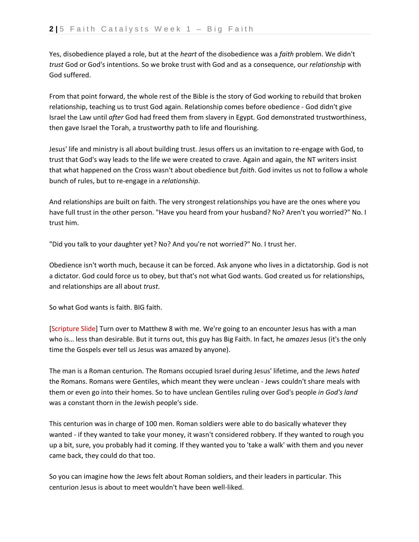Yes, disobedience played a role, but at the *heart* of the disobedience was a *faith* problem. We didn't *trust* God or God's intentions. So we broke trust with God and as a consequence, our *relationship* with God suffered.

From that point forward, the whole rest of the Bible is the story of God working to rebuild that broken relationship, teaching us to trust God again. Relationship comes before obedience - God didn't give Israel the Law until *after* God had freed them from slavery in Egypt. God demonstrated trustworthiness, then gave Israel the Torah, a trustworthy path to life and flourishing.

Jesus' life and ministry is all about building trust. Jesus offers us an invitation to re-engage with God, to trust that God's way leads to the life we were created to crave. Again and again, the NT writers insist that what happened on the Cross wasn't about obedience but *faith*. God invites us not to follow a whole bunch of rules, but to re-engage in a *relationship*.

And relationships are built on faith. The very strongest relationships you have are the ones where you have full trust in the other person. "Have you heard from your husband? No? Aren't you worried?" No. I trust him.

"Did you talk to your daughter yet? No? And you're not worried?" No. I trust her.

Obedience isn't worth much, because it can be forced. Ask anyone who lives in a dictatorship. God is not a dictator. God could force us to obey, but that's not what God wants. God created us for relationships, and relationships are all about *trust*.

So what God wants is faith. BIG faith.

[Scripture Slide] Turn over to Matthew 8 with me. We're going to an encounter Jesus has with a man who is… less than desirable. But it turns out, this guy has Big Faith. In fact, he *amazes* Jesus (it's the only time the Gospels ever tell us Jesus was amazed by anyone).

The man is a Roman centurion. The Romans occupied Israel during Jesus' lifetime, and the Jews *hated*  the Romans. Romans were Gentiles, which meant they were unclean - Jews couldn't share meals with them or even go into their homes. So to have unclean Gentiles ruling over God's people *in God's land* was a constant thorn in the Jewish people's side.

This centurion was in charge of 100 men. Roman soldiers were able to do basically whatever they wanted - if they wanted to take your money, it wasn't considered robbery. If they wanted to rough you up a bit, sure, you probably had it coming. If they wanted you to 'take a walk' with them and you never came back, they could do that too.

So you can imagine how the Jews felt about Roman soldiers, and their leaders in particular. This centurion Jesus is about to meet wouldn't have been well-liked.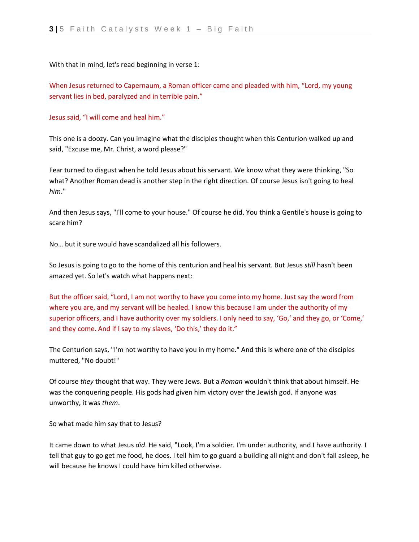With that in mind, let's read beginning in verse 1:

When Jesus returned to Capernaum, a Roman officer came and pleaded with him, "Lord, my young servant lies in bed, paralyzed and in terrible pain."

Jesus said, "I will come and heal him."

This one is a doozy. Can you imagine what the disciples thought when this Centurion walked up and said, "Excuse me, Mr. Christ, a word please?"

Fear turned to disgust when he told Jesus about his servant. We know what they were thinking, "So what? Another Roman dead is another step in the right direction. Of course Jesus isn't going to heal *him*."

And then Jesus says, "I'll come to your house." Of course he did. You think a Gentile's house is going to scare him?

No… but it sure would have scandalized all his followers.

So Jesus is going to go to the home of this centurion and heal his servant. But Jesus *still* hasn't been amazed yet. So let's watch what happens next:

But the officer said, "Lord, I am not worthy to have you come into my home. Just say the word from where you are, and my servant will be healed. I know this because I am under the authority of my superior officers, and I have authority over my soldiers. I only need to say, 'Go,' and they go, or 'Come,' and they come. And if I say to my slaves, 'Do this,' they do it."

The Centurion says, "I'm not worthy to have you in my home." And this is where one of the disciples muttered, "No doubt!"

Of course *they* thought that way. They were Jews. But a *Roman* wouldn't think that about himself. He was the conquering people. His gods had given him victory over the Jewish god. If anyone was unworthy, it was *them*.

So what made him say that to Jesus?

It came down to what Jesus *did*. He said, "Look, I'm a soldier. I'm under authority, and I have authority. I tell that guy to go get me food, he does. I tell him to go guard a building all night and don't fall asleep, he will because he knows I could have him killed otherwise.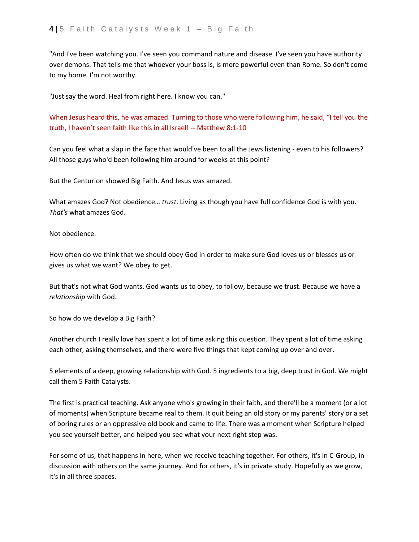"And I've been watching you. I've seen you command nature and disease. I've seen you have authority over demons. That tells me that whoever your boss is, is more powerful even than Rome. So don't come to my home. I'm not worthy.

"Just say the word. Heal from right here. I know you can."

When Jesus heard this, he was amazed. Turning to those who were following him, he said, "I tell you the truth, I haven't seen faith like this in all Israel! -- Matthew 8:1-10

Can you feel what a slap in the face that would've been to all the Jews listening - even to his followers? All those guys who'd been following him around for weeks at this point?

But the Centurion showed Big Faith. And Jesus was amazed.

What amazes God? Not obedience… *trust*. Living as though you have full confidence God is with you. *That's* what amazes God.

Not obedience.

How often do we think that we should obey God in order to make sure God loves us or blesses us or gives us what we want? We obey to get.

But that's not what God wants. God wants us to obey, to follow, because we trust. Because we have a *relationship* with God.

So how do we develop a Big Faith?

Another church I really love has spent a lot of time asking this question. They spent a lot of time asking each other, asking themselves, and there were five things that kept coming up over and over.

5 elements of a deep, growing relationship with God. 5 ingredients to a big, deep trust in God. We might call them 5 Faith Catalysts.

The first is practical teaching. Ask anyone who's growing in their faith, and there'll be a moment (or a lot of moments) when Scripture became real to them. It quit being an old story or my parents' story or a set of boring rules or an oppressive old book and came to life. There was a moment when Scripture helped you see yourself better, and helped you see what your next right step was.

For some of us, that happens in here, when we receive teaching together. For others, it's in C-Group, in discussion with others on the same journey. And for others, it's in private study. Hopefully as we grow, it's in all three spaces.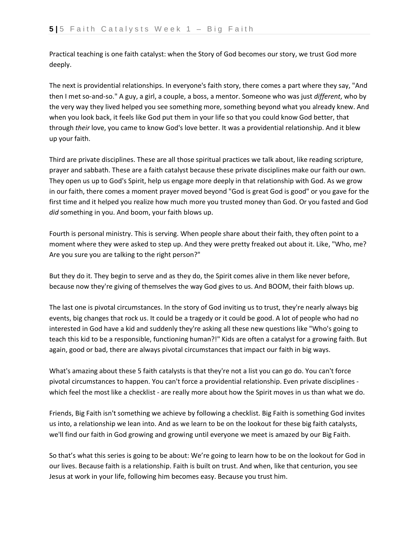Practical teaching is one faith catalyst: when the Story of God becomes our story, we trust God more deeply.

The next is providential relationships. In everyone's faith story, there comes a part where they say, "And then I met so-and-so." A guy, a girl, a couple, a boss, a mentor. Someone who was just *different*, who by the very way they lived helped you see something more, something beyond what you already knew. And when you look back, it feels like God put them in your life so that you could know God better, that through *their* love, you came to know God's love better. It was a providential relationship. And it blew up your faith.

Third are private disciplines. These are all those spiritual practices we talk about, like reading scripture, prayer and sabbath. These are a faith catalyst because these private disciplines make our faith our own. They open us up to God's Spirit, help us engage more deeply in that relationship with God. As we grow in our faith, there comes a moment prayer moved beyond "God is great God is good" or you gave for the first time and it helped you realize how much more you trusted money than God. Or you fasted and God *did* something in you. And boom, your faith blows up.

Fourth is personal ministry. This is serving. When people share about their faith, they often point to a moment where they were asked to step up. And they were pretty freaked out about it. Like, "Who, me? Are you sure you are talking to the right person?"

But they do it. They begin to serve and as they do, the Spirit comes alive in them like never before, because now they're giving of themselves the way God gives to us. And BOOM, their faith blows up.

The last one is pivotal circumstances. In the story of God inviting us to trust, they're nearly always big events, big changes that rock us. It could be a tragedy or it could be good. A lot of people who had no interested in God have a kid and suddenly they're asking all these new questions like "Who's going to teach this kid to be a responsible, functioning human?!" Kids are often a catalyst for a growing faith. But again, good or bad, there are always pivotal circumstances that impact our faith in big ways.

What's amazing about these 5 faith catalysts is that they're not a list you can go do. You can't force pivotal circumstances to happen. You can't force a providential relationship. Even private disciplines which feel the most like a checklist - are really more about how the Spirit moves in us than what we do.

Friends, Big Faith isn't something we achieve by following a checklist. Big Faith is something God invites us into, a relationship we lean into. And as we learn to be on the lookout for these big faith catalysts, we'll find our faith in God growing and growing until everyone we meet is amazed by our Big Faith.

So that's what this series is going to be about: We're going to learn how to be on the lookout for God in our lives. Because faith is a relationship. Faith is built on trust. And when, like that centurion, you see Jesus at work in your life, following him becomes easy. Because you trust him.